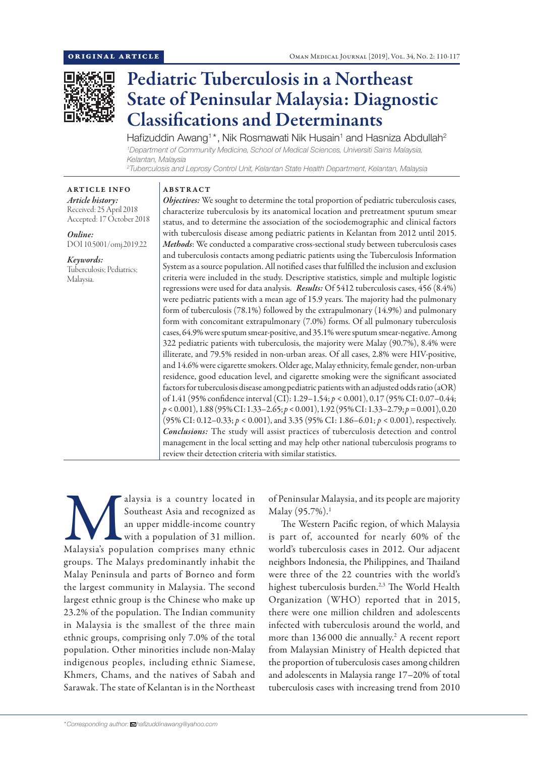

# Pediatric Tuberculosis in a Northeast State of Peninsular Malaysia: Diagnostic Classifications and Determinants

Hafizuddin Awang<sup>1\*</sup>, Nik Rosmawati Nik Husain<sup>1</sup> and Hasniza Abdullah<sup>2</sup> *1 Department of Community Medicine, School of Medical Sciences, Universiti Sains Malaysia, Kelantan, Malaysia 2 Tuberculosis and Leprosy Control Unit, Kelantan State Health Department, Kelantan, Malaysia*

ABSTRACT

ARTICLE INFO *Article history:* Received: 25 April 2018 Accepted: 17 October 2018

*Online:* DOI 10.5001/omj.2019.22

*Keywords:*  Tuberculosis; Pediatrics; Malaysia.

*Objectives:* We sought to determine the total proportion of pediatric tuberculosis cases, characterize tuberculosis by its anatomical location and pretreatment sputum smear status, and to determine the association of the sociodemographic and clinical factors with tuberculosis disease among pediatric patients in Kelantan from 2012 until 2015. *Methods*: We conducted a comparative cross-sectional study between tuberculosis cases and tuberculosis contacts among pediatric patients using the Tuberculosis Information System as a source population. All notified cases that fulfilled the inclusion and exclusion criteria were included in the study. Descriptive statistics, simple and multiple logistic regressions were used for data analysis. *Results:* Of 5412 tuberculosis cases, 456 (8.4%) were pediatric patients with a mean age of 15.9 years. The majority had the pulmonary form of tuberculosis (78.1%) followed by the extrapulmonary (14.9%) and pulmonary form with concomitant extrapulmonary (7.0%) forms. Of all pulmonary tuberculosis cases, 64.9% were sputum smear-positive, and 35.1% were sputum smear-negative. Among 322 pediatric patients with tuberculosis, the majority were Malay (90.7%), 8.4% were illiterate, and 79.5% resided in non-urban areas. Of all cases, 2.8% were HIV-positive, and 14.6% were cigarette smokers. Older age, Malay ethnicity, female gender, non-urban residence, good education level, and cigarette smoking were the significant associated factors for tuberculosis disease among pediatric patients with an adjusted odds ratio (aOR) of 1.41 (95% confidence interval (CI): 1.29–1.54; *p* < 0.001), 0.17 (95% CI: 0.07–0.44; *p* < 0.001), 1.88 (95% CI: 1.33–2.65; *p* < 0.001), 1.92 (95% CI: 1.33–2.79; *p =* 0.001), 0.20 (95% CI: 0.12–0.33; *p* < 0.001), and 3.35 (95% CI: 1.86–6.01; *p* < 0.001), respectively. *Conclusions:* The study will assist practices of tuberculosis detection and control management in the local setting and may help other national tuberculosis programs to review their detection criteria with similar statistics.

alaysia is a country located in Southeast Asia and recognized as an upper middle-income country with a population of 31 million.<br>Malaysia's population comprises many ethnic Southeast Asia and recognized as an upper middle-income country with a population of 31 million. groups. The Malays predominantly inhabit the Malay Peninsula and parts of Borneo and form the largest community in Malaysia. The second largest ethnic group is the Chinese who make up 23.2% of the population. The Indian community in Malaysia is the smallest of the three main ethnic groups, comprising only 7.0% of the total population. Other minorities include non-Malay indigenous peoples, including ethnic Siamese, Khmers, Chams, and the natives of Sabah and Sarawak. The state of Kelantan is in the Northeast

of Peninsular Malaysia, and its people are majority Malay (95.7%).<sup>1</sup>

The Western Pacific region, of which Malaysia is part of, accounted for nearly 60% of the world's tuberculosis cases in 2012. Our adjacent neighbors Indonesia, the Philippines, and Thailand were three of the 22 countries with the world's highest tuberculosis burden.<sup>2,3</sup> The World Health Organization (WHO) reported that in 2015, there were one million children and adolescents infected with tuberculosis around the world, and more than 136000 die annually.<sup>2</sup> A recent report from Malaysian Ministry of Health depicted that the proportion of tuberculosis cases among children and adolescents in Malaysia range 17–20% of total tuberculosis cases with increasing trend from 2010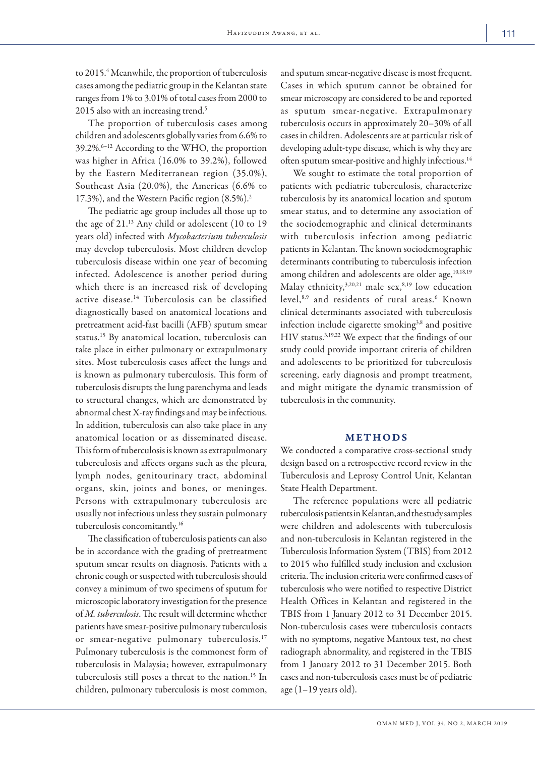to 2015.<sup>4</sup> Meanwhile, the proportion of tuberculosis cases among the pediatric group in the Kelantan state ranges from 1% to 3.01% of total cases from 2000 to 2015 also with an increasing trend.<sup>5</sup>

The proportion of tuberculosis cases among children and adolescents globally varies from 6.6% to 39.2%.6–12 According to the WHO, the proportion was higher in Africa (16.0% to 39.2%), followed by the Eastern Mediterranean region (35.0%), Southeast Asia (20.0%), the Americas (6.6% to 17.3%), and the Western Pacific region (8.5%).2

The pediatric age group includes all those up to the age of 21.13 Any child or adolescent (10 to 19 years old) infected with *Mycobacterium tuberculosis* may develop tuberculosis. Most children develop tuberculosis disease within one year of becoming infected. Adolescence is another period during which there is an increased risk of developing active disease.14 Tuberculosis can be classified diagnostically based on anatomical locations and pretreatment acid-fast bacilli (AFB) sputum smear status.15 By anatomical location, tuberculosis can take place in either pulmonary or extrapulmonary sites. Most tuberculosis cases affect the lungs and is known as pulmonary tuberculosis. This form of tuberculosis disrupts the lung parenchyma and leads to structural changes, which are demonstrated by abnormal chest X-ray findings and may be infectious. In addition, tuberculosis can also take place in any anatomical location or as disseminated disease. This form of tuberculosis is known as extrapulmonary tuberculosis and affects organs such as the pleura, lymph nodes, genitourinary tract, abdominal organs, skin, joints and bones, or meninges. Persons with extrapulmonary tuberculosis are usually not infectious unless they sustain pulmonary tuberculosis concomitantly.16

The classification of tuberculosis patients can also be in accordance with the grading of pretreatment sputum smear results on diagnosis. Patients with a chronic cough or suspected with tuberculosis should convey a minimum of two specimens of sputum for microscopic laboratory investigation for the presence of *M. tuberculosis*. The result will determine whether patients have smear-positive pulmonary tuberculosis or smear-negative pulmonary tuberculosis.<sup>17</sup> Pulmonary tuberculosis is the commonest form of tuberculosis in Malaysia; however, extrapulmonary tuberculosis still poses a threat to the nation.15 In children, pulmonary tuberculosis is most common,

and sputum smear-negative disease is most frequent. Cases in which sputum cannot be obtained for smear microscopy are considered to be and reported as sputum smear-negative. Extrapulmonary tuberculosis occurs in approximately 20–30% of all cases in children. Adolescents are at particular risk of developing adult-type disease, which is why they are often sputum smear-positive and highly infectious.14

We sought to estimate the total proportion of patients with pediatric tuberculosis, characterize tuberculosis by its anatomical location and sputum smear status, and to determine any association of the sociodemographic and clinical determinants with tuberculosis infection among pediatric patients in Kelantan. The known sociodemographic determinants contributing to tuberculosis infection among children and adolescents are older age,<sup>10,18,19</sup> Malay ethnicity,  $3,20,21$  male sex,  $8,19$  low education level,<sup>8,9</sup> and residents of rural areas.<sup>6</sup> Known clinical determinants associated with tuberculosis infection include cigarette smoking<sup>3,8</sup> and positive HIV status.3,19,22 We expect that the findings of our study could provide important criteria of children and adolescents to be prioritized for tuberculosis screening, early diagnosis and prompt treatment, and might mitigate the dynamic transmission of tuberculosis in the community.

# METHODS

We conducted a comparative cross-sectional study design based on a retrospective record review in the Tuberculosis and Leprosy Control Unit, Kelantan State Health Department.

The reference populations were all pediatric tuberculosis patients in Kelantan, and the study samples were children and adolescents with tuberculosis and non-tuberculosis in Kelantan registered in the Tuberculosis Information System (TBIS) from 2012 to 2015 who fulfilled study inclusion and exclusion criteria. The inclusion criteria were confirmed cases of tuberculosis who were notified to respective District Health Offices in Kelantan and registered in the TBIS from 1 January 2012 to 31 December 2015. Non-tuberculosis cases were tuberculosis contacts with no symptoms, negative Mantoux test, no chest radiograph abnormality, and registered in the TBIS from 1 January 2012 to 31 December 2015. Both cases and non-tuberculosis cases must be of pediatric age  $(1-19$  years old).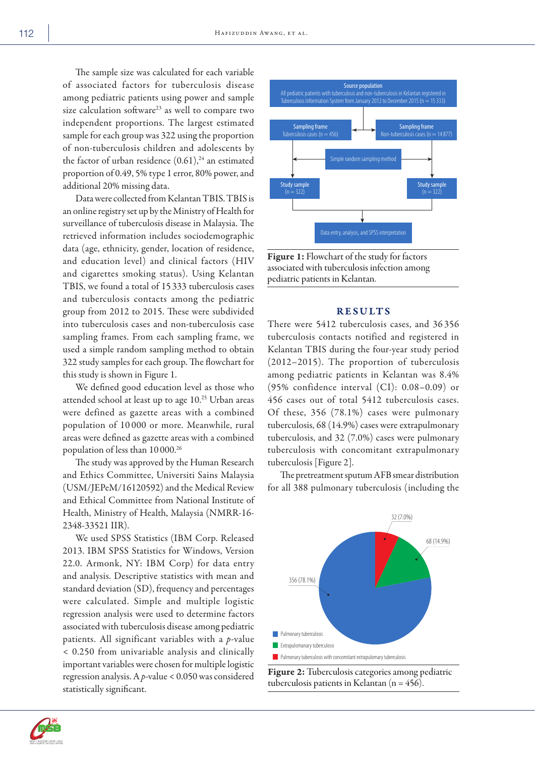The sample size was calculated for each variable of associated factors for tuberculosis disease among pediatric patients using power and sample size calculation software<sup>23</sup> as well to compare two independent proportions. The largest estimated sample for each group was 322 using the proportion of non-tuberculosis children and adolescents by the factor of urban residence  $(0.61)$ ,<sup>24</sup> an estimated proportion of 0.49, 5% type 1 error, 80% power, and additional 20% missing data.

Data were collected from Kelantan TBIS. TBIS is an online registry set up by the Ministry of Health for surveillance of tuberculosis disease in Malaysia. The retrieved information includes sociodemographic data (age, ethnicity, gender, location of residence, and education level) and clinical factors (HIV and cigarettes smoking status). Using Kelantan TBIS, we found a total of 15 333 tuberculosis cases and tuberculosis contacts among the pediatric group from 2012 to 2015. These were subdivided into tuberculosis cases and non-tuberculosis case sampling frames. From each sampling frame, we used a simple random sampling method to obtain 322 study samples for each group. The flowchart for this study is shown in Figure 1.

We defined good education level as those who attended school at least up to age 10.25 Urban areas were defined as gazette areas with a combined population of 10 000 or more. Meanwhile, rural areas were defined as gazette areas with a combined population of less than 10 000.<sup>26</sup>

The study was approved by the Human Research and Ethics Committee, Universiti Sains Malaysia (USM/JEPeM/16120592) and the Medical Review and Ethical Committee from National Institute of Health, Ministry of Health, Malaysia (NMRR-16- 2348-33521 IIR).

We used SPSS Statistics (IBM Corp. Released 2013. IBM SPSS Statistics for Windows, Version 22.0. Armonk, NY: IBM Corp) for data entry and analysis. Descriptive statistics with mean and standard deviation (SD), frequency and percentages were calculated. Simple and multiple logistic regression analysis were used to determine factors associated with tuberculosis disease among pediatric patients. All significant variables with a *p*-value < 0.250 from univariable analysis and clinically important variables were chosen for multiple logistic regression analysis. A *p*-value < 0.050 was considered statistically significant.



Figure 1: Flowchart of the study for factors associated with tuberculosis infection among pediatric patients in Kelantan.

### **RESULTS**

There were 5412 tuberculosis cases, and 36 356 tuberculosis contacts notified and registered in Kelantan TBIS during the four-year study period (2012–2015). The proportion of tuberculosis among pediatric patients in Kelantan was 8.4% (95% confidence interval (CI): 0.08–0.09) or 456 cases out of total 5412 tuberculosis cases. Of these, 356 (78.1%) cases were pulmonary tuberculosis, 68 (14.9%) cases were extrapulmonary tuberculosis, and 32 (7.0%) cases were pulmonary tuberculosis with concomitant extrapulmonary tuberculosis [Figure 2].

The pretreatment sputum AFB smear distribution for all 388 pulmonary tuberculosis (including the





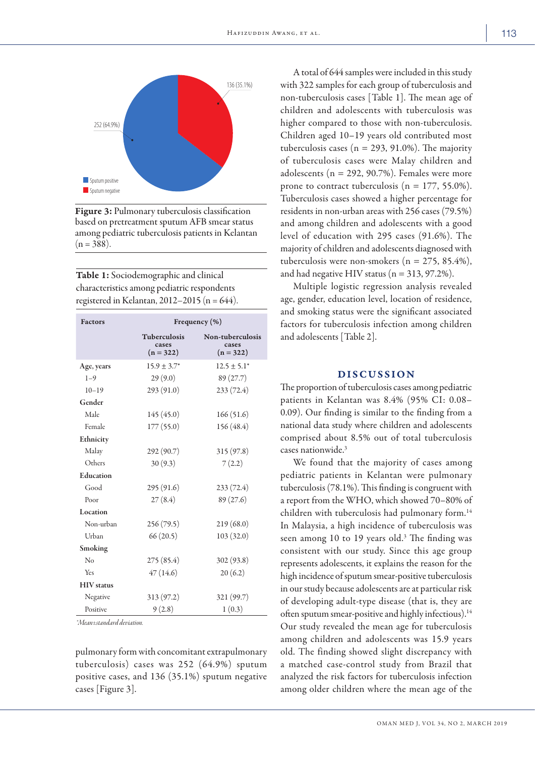

Figure 3: Pulmonary tuberculosis classification based on pretreatment sputum AFB smear status among pediatric tuberculosis patients in Kelantan  $(n = 388)$ .

Table 1: Sociodemographic and clinical characteristics among pediatric respondents registered in Kelantan, 2012–2015 (n =  $644$ ).

| <b>Factors</b>    | Frequency $(\% )$                    |                                          |  |  |  |
|-------------------|--------------------------------------|------------------------------------------|--|--|--|
|                   | Tuberculosis<br>cases<br>$(n = 322)$ | Non-tuberculosis<br>cases<br>$(n = 322)$ |  |  |  |
| Age, years        | $15.9 \pm 3.7^*$                     | $12.5 \pm 5.1^*$                         |  |  |  |
| $1 - 9$           | 29(9.0)                              | 89 (27.7)                                |  |  |  |
| $10 - 19$         | 293(91.0)                            | 233(72.4)                                |  |  |  |
| Gender            |                                      |                                          |  |  |  |
| Male              | 145 (45.0)                           | 166(51.6)                                |  |  |  |
| Female            | 177 (55.0)                           | 156 (48.4)                               |  |  |  |
| Ethnicity         |                                      |                                          |  |  |  |
| Malay             | 292 (90.7)                           | 315(97.8)                                |  |  |  |
| Others            | 30(9.3)                              | 7(2.2)                                   |  |  |  |
| Education         |                                      |                                          |  |  |  |
| Good              | 295 (91.6)                           | 233(72.4)                                |  |  |  |
| Poor              | 27(8.4)                              | 89 (27.6)                                |  |  |  |
| Location          |                                      |                                          |  |  |  |
| Non-urban         | 256 (79.5)                           | 219(68.0)                                |  |  |  |
| Urban             | 66(20.5)                             | 103(32.0)                                |  |  |  |
| Smoking           |                                      |                                          |  |  |  |
| No                | 275 (85.4)                           | 302(93.8)                                |  |  |  |
| Yes               | 47(14.6)                             | 20(6.2)                                  |  |  |  |
| <b>HIV</b> status |                                      |                                          |  |  |  |
| Negative          | 313 (97.2)                           | 321 (99.7)                               |  |  |  |
| Positive          | 9(2.8)                               | 1(0.3)                                   |  |  |  |

*\*Mean±standard deviation.*

pulmonary form with concomitant extrapulmonary tuberculosis) cases was 252 (64.9%) sputum positive cases, and 136 (35.1%) sputum negative cases [Figure 3].

A total of 644 samples were included in this study with 322 samples for each group of tuberculosis and non-tuberculosis cases [Table 1]. The mean age of children and adolescents with tuberculosis was higher compared to those with non-tuberculosis. Children aged 10–19 years old contributed most tuberculosis cases ( $n = 293, 91.0\%$ ). The majority of tuberculosis cases were Malay children and adolescents ( $n = 292, 90.7\%$ ). Females were more prone to contract tuberculosis ( $n = 177, 55.0\%$ ). Tuberculosis cases showed a higher percentage for residents in non-urban areas with 256 cases (79.5%) and among children and adolescents with a good level of education with 295 cases (91.6%). The majority of children and adolescents diagnosed with tuberculosis were non-smokers ( $n = 275, 85.4\%$ ), and had negative HIV status ( $n = 313, 97.2\%$ ).

Multiple logistic regression analysis revealed age, gender, education level, location of residence, and smoking status were the significant associated factors for tuberculosis infection among children and adolescents [Table 2].

## DISCUSSION

The proportion of tuberculosis cases among pediatric patients in Kelantan was 8.4% (95% CI: 0.08– 0.09). Our finding is similar to the finding from a national data study where children and adolescents comprised about 8.5% out of total tuberculosis cases nationwide.3

We found that the majority of cases among pediatric patients in Kelantan were pulmonary tuberculosis (78.1%). This finding is congruent with a report from the WHO, which showed 70–80% of children with tuberculosis had pulmonary form.14 In Malaysia, a high incidence of tuberculosis was seen among 10 to 19 years old.<sup>3</sup> The finding was consistent with our study. Since this age group represents adolescents, it explains the reason for the high incidence of sputum smear-positive tuberculosis in our study because adolescents are at particular risk of developing adult-type disease (that is, they are often sputum smear-positive and highly infectious).<sup>14</sup> Our study revealed the mean age for tuberculosis among children and adolescents was 15.9 years old. The finding showed slight discrepancy with a matched case-control study from Brazil that analyzed the risk factors for tuberculosis infection among older children where the mean age of the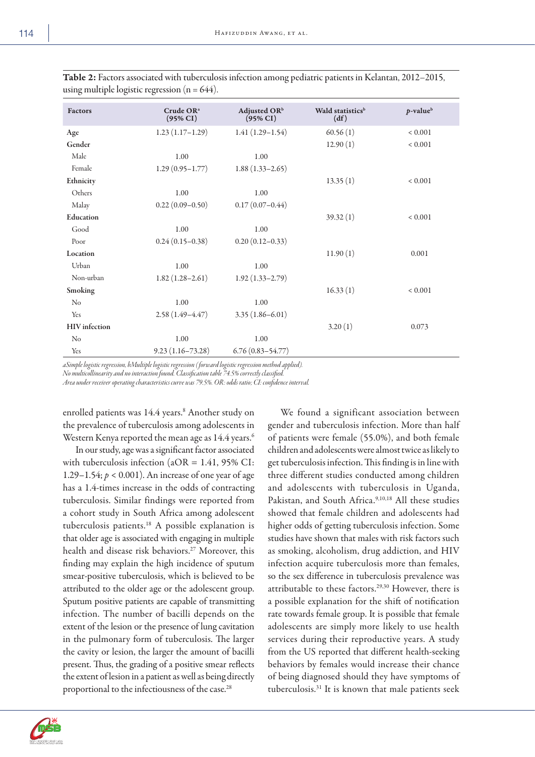|  | P. |
|--|----|
|  |    |

| <b>Factors</b>       | Crude OR <sup>a</sup><br>$(95\% CI)$ | Adjusted OR <sup>b</sup><br>$(95\% \text{ CI})$ | Wald statistics <sup>b</sup><br>(df) | $p$ -value <sup>b</sup> |
|----------------------|--------------------------------------|-------------------------------------------------|--------------------------------------|-------------------------|
| Age                  | $1.23(1.17-1.29)$                    | $1.41(1.29-1.54)$                               | 60.56(1)                             | ${}< 0.001$             |
| Gender               |                                      |                                                 | 12.90(1)                             | ${}< 0.001$             |
| Male                 | 1.00                                 | 1.00                                            |                                      |                         |
| Female               | $1.29(0.95 - 1.77)$                  | $1.88(1.33 - 2.65)$                             |                                      |                         |
| Ethnicity            |                                      |                                                 | 13.35(1)                             | ${}< 0.001$             |
| Others               | 1.00                                 | 1.00                                            |                                      |                         |
| Malay                | $0.22(0.09-0.50)$                    | $0.17(0.07-0.44)$                               |                                      |                         |
| Education            |                                      |                                                 | 39.32(1)                             | ${}< 0.001$             |
| Good                 | 1.00                                 | 1.00                                            |                                      |                         |
| Poor                 | $0.24(0.15-0.38)$                    | $0.20(0.12-0.33)$                               |                                      |                         |
| Location             |                                      |                                                 | 11.90(1)                             | 0.001                   |
| Urban                | 1.00                                 | 1.00                                            |                                      |                         |
| Non-urban            | $1.82(1.28 - 2.61)$                  | $1.92(1.33 - 2.79)$                             |                                      |                         |
| Smoking              |                                      |                                                 | 16.33(1)                             | ${}< 0.001$             |
| No                   | 1.00                                 | 1.00                                            |                                      |                         |
| Yes                  | $2.58(1.49-4.47)$                    | $3.35(1.86 - 6.01)$                             |                                      |                         |
| <b>HIV</b> infection |                                      |                                                 | 3.20(1)                              | 0.073                   |
| No                   | 1.00                                 | 1.00                                            |                                      |                         |
| Yes                  | $9.23(1.16 - 73.28)$                 | $6.76(0.83 - 54.77)$                            |                                      |                         |

Table 2: Factors associated with tuberculosis infection among pediatric patients in Kelantan, 2012–2015, using multiple logistic regression  $(n = 644)$ .

*aSimple logistic regression, bMultiple logistic regression ( forward logistic regression method applied).*

*No multicollinearity and no interaction found. Classification table 74.5% correctly classified.*

*Area under receiver operating characteristics curve was 79.5%. OR: odds ratio; CI: confidence interval.*

enrolled patients was 14.4 years.<sup>8</sup> Another study on the prevalence of tuberculosis among adolescents in Western Kenya reported the mean age as 14.4 years.<sup>6</sup>

In our study, age was a significant factor associated with tuberculosis infection (aOR = 1.41, 95% CI: 1.29–1.54; *p* < 0.001). An increase of one year of age has a 1.4-times increase in the odds of contracting tuberculosis. Similar findings were reported from a cohort study in South Africa among adolescent tuberculosis patients.18 A possible explanation is that older age is associated with engaging in multiple health and disease risk behaviors.<sup>27</sup> Moreover, this finding may explain the high incidence of sputum smear-positive tuberculosis, which is believed to be attributed to the older age or the adolescent group. Sputum positive patients are capable of transmitting infection. The number of bacilli depends on the extent of the lesion or the presence of lung cavitation in the pulmonary form of tuberculosis. The larger the cavity or lesion, the larger the amount of bacilli present. Thus, the grading of a positive smear reflects the extent of lesion in a patient as well as being directly proportional to the infectiousness of the case.<sup>28</sup>

We found a significant association between gender and tuberculosis infection. More than half of patients were female (55.0%), and both female children and adolescents were almost twice as likely to get tuberculosis infection. This finding is in line with three different studies conducted among children and adolescents with tuberculosis in Uganda, Pakistan, and South Africa.9,10,18 All these studies showed that female children and adolescents had higher odds of getting tuberculosis infection. Some studies have shown that males with risk factors such as smoking, alcoholism, drug addiction, and HIV infection acquire tuberculosis more than females, so the sex difference in tuberculosis prevalence was attributable to these factors.29,30 However, there is a possible explanation for the shift of notification rate towards female group. It is possible that female adolescents are simply more likely to use health services during their reproductive years. A study from the US reported that different health-seeking behaviors by females would increase their chance of being diagnosed should they have symptoms of tuberculosis.31 It is known that male patients seek

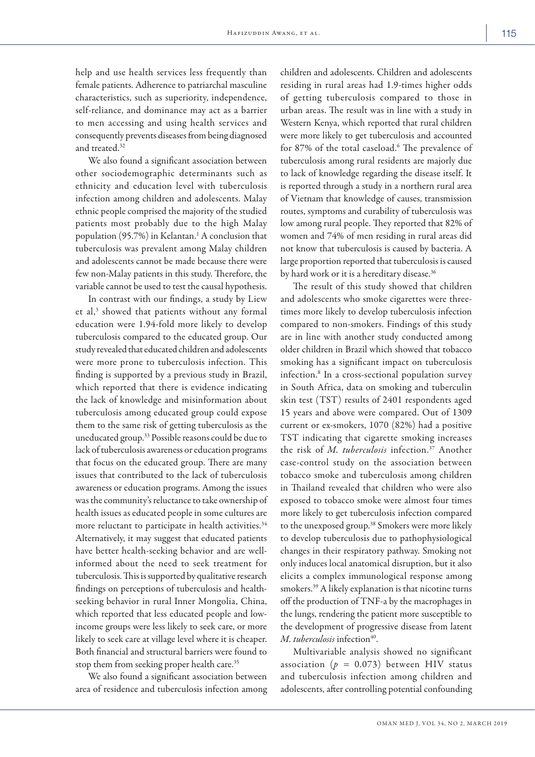help and use health services less frequently than female patients. Adherence to patriarchal masculine characteristics, such as superiority, independence, self-reliance, and dominance may act as a barrier to men accessing and using health services and consequently prevents diseases from being diagnosed and treated.<sup>32</sup>

We also found a significant association between other sociodemographic determinants such as ethnicity and education level with tuberculosis infection among children and adolescents. Malay ethnic people comprised the majority of the studied patients most probably due to the high Malay population (95.7%) in Kelantan.<sup>1</sup> A conclusion that tuberculosis was prevalent among Malay children and adolescents cannot be made because there were few non-Malay patients in this study. Therefore, the variable cannot be used to test the causal hypothesis.

In contrast with our findings, a study by Liew et al,<sup>3</sup> showed that patients without any formal education were 1.94-fold more likely to develop tuberculosis compared to the educated group. Our study revealed that educated children and adolescents were more prone to tuberculosis infection. This finding is supported by a previous study in Brazil, which reported that there is evidence indicating the lack of knowledge and misinformation about tuberculosis among educated group could expose them to the same risk of getting tuberculosis as the uneducated group.33 Possible reasons could be due to lack of tuberculosis awareness or education programs that focus on the educated group. There are many issues that contributed to the lack of tuberculosis awareness or education programs. Among the issues was the community's reluctance to take ownership of health issues as educated people in some cultures are more reluctant to participate in health activities.<sup>34</sup> Alternatively, it may suggest that educated patients have better health-seeking behavior and are wellinformed about the need to seek treatment for tuberculosis. This is supported by qualitative research findings on perceptions of tuberculosis and healthseeking behavior in rural Inner Mongolia, China, which reported that less educated people and lowincome groups were less likely to seek care, or more likely to seek care at village level where it is cheaper. Both financial and structural barriers were found to stop them from seeking proper health care.<sup>35</sup>

We also found a significant association between area of residence and tuberculosis infection among

children and adolescents. Children and adolescents residing in rural areas had 1.9-times higher odds of getting tuberculosis compared to those in urban areas. The result was in line with a study in Western Kenya, which reported that rural children were more likely to get tuberculosis and accounted for 87% of the total caseload.<sup>6</sup> The prevalence of tuberculosis among rural residents are majorly due to lack of knowledge regarding the disease itself. It is reported through a study in a northern rural area of Vietnam that knowledge of causes, transmission routes, symptoms and curability of tuberculosis was low among rural people. They reported that 82% of women and 74% of men residing in rural areas did not know that tuberculosis is caused by bacteria. A large proportion reported that tuberculosis is caused by hard work or it is a hereditary disease.<sup>36</sup>

The result of this study showed that children and adolescents who smoke cigarettes were threetimes more likely to develop tuberculosis infection compared to non-smokers. Findings of this study are in line with another study conducted among older children in Brazil which showed that tobacco smoking has a significant impact on tuberculosis infection.8 In a cross-sectional population survey in South Africa, data on smoking and tuberculin skin test (TST) results of 2401 respondents aged 15 years and above were compared. Out of 1309 current or ex-smokers, 1070 (82%) had a positive TST indicating that cigarette smoking increases the risk of *M. tuberculosis* infection.37 Another case-control study on the association between tobacco smoke and tuberculosis among children in Thailand revealed that children who were also exposed to tobacco smoke were almost four times more likely to get tuberculosis infection compared to the unexposed group.38 Smokers were more likely to develop tuberculosis due to pathophysiological changes in their respiratory pathway. Smoking not only induces local anatomical disruption, but it also elicits a complex immunological response among smokers.39 A likely explanation is that nicotine turns off the production of TNF-a by the macrophages in the lungs, rendering the patient more susceptible to the development of progressive disease from latent *M. tuberculosis* infection<sup>40</sup>.

Multivariable analysis showed no significant association ( $p = 0.073$ ) between HIV status and tuberculosis infection among children and adolescents, after controlling potential confounding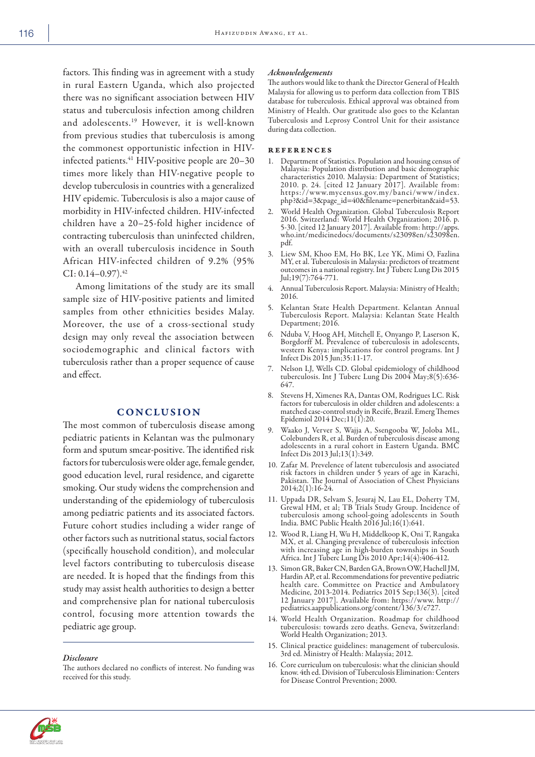factors. This finding was in agreement with a study in rural Eastern Uganda, which also projected there was no significant association between HIV status and tuberculosis infection among children and adolescents.19 However, it is well-known from previous studies that tuberculosis is among the commonest opportunistic infection in HIVinfected patients.<sup>41</sup> HIV-positive people are 20-30 times more likely than HIV-negative people to develop tuberculosis in countries with a generalized HIV epidemic. Tuberculosis is also a major cause of morbidity in HIV-infected children. HIV-infected children have a 20–25-fold higher incidence of contracting tuberculosis than uninfected children, with an overall tuberculosis incidence in South African HIV-infected children of 9.2% (95%  $CI: 0.14 - 0.97$ <sup>42</sup>

Among limitations of the study are its small sample size of HIV-positive patients and limited samples from other ethnicities besides Malay. Moreover, the use of a cross-sectional study design may only reveal the association between sociodemographic and clinical factors with tuberculosis rather than a proper sequence of cause and effect.

# **CONCLUSION**

The most common of tuberculosis disease among pediatric patients in Kelantan was the pulmonary form and sputum smear-positive. The identified risk factors for tuberculosis were older age, female gender, good education level, rural residence, and cigarette smoking. Our study widens the comprehension and understanding of the epidemiology of tuberculosis among pediatric patients and its associated factors. Future cohort studies including a wider range of other factors such as nutritional status, social factors (specifically household condition), and molecular level factors contributing to tuberculosis disease are needed. It is hoped that the findings from this study may assist health authorities to design a better and comprehensive plan for national tuberculosis control, focusing more attention towards the pediatric age group.

#### *Disclosure*

The authors declared no conflicts of interest. No funding was received for this study.

#### *Acknowledgements*

The authors would like to thank the Director General of Health Malaysia for allowing us to perform data collection from TBIS database for tuberculosis. Ethical approval was obtained from Ministry of Health. Our gratitude also goes to the Kelantan Tuberculosis and Leprosy Control Unit for their assistance during data collection.

#### references

- 1. Department of Statistics. Population and housing census of Malaysia: Population distribution and basic demographic characteristics 2010. Malaysia: Department of Statistics; 2010. p. 24. [cited 12 January 2017]. Available from: https://www.mycensus.gov.my/banci/www/index. php?&id=3&page\_id=40&filename=penerbitan&aid=53.
- 2. World Health Organization. Global Tuberculosis Report 2016. Switzerland: World Health Organization; 2016. p. 5-30. [cited 12 January 2017]. Available from: http://apps. who.int/medicinedocs/documents/s23098en/s23098en. pdf.
- 3. Liew SM, Khoo EM, Ho BK, Lee YK, Mimi O, Fazlina MY, et al. Tuberculosis in Malaysia: predictors of treatment outcomes in a national registry. Int J Tuberc Lung Dis 2015 Jul;19(7):764-771.
- 4. Annual Tuberculosis Report. Malaysia: Ministry of Health; 2016.
- 5. Kelantan State Health Department. Kelantan Annual Tuberculosis Report. Malaysia: Kelantan State Health Department; 2016.
- 6. Nduba V, Hoog AH, Mitchell E, Onyango P, Laserson K, Borgdorff M. Prevalence of tuberculosis in adolescents, western Kenya: implications for control programs. Int J Infect Dis 2015 Jun;35:11-17.
- 7. Nelson LJ, Wells CD. Global epidemiology of childhood tuberculosis. Int J Tuberc Lung Dis 2004 May;8(5):636- 647.
- 8. Stevens H, Ximenes RA, Dantas OM, Rodrigues LC. Risk factors for tuberculosis in older children and adolescents: a matched case-control study in Recife, Brazil. Emerg Themes Epidemiol 2014 Dec;11(1):20.
- 9. Waako J, Verver S, Wajja A, Ssengooba W, Joloba ML, Colebunders R, et al. Burden of tuberculosis disease among adolescents in a rural cohort in Eastern Uganda. BMČ<br>Infect Dis 2013 Jul;13(1):349.
- 10. Zafar M. Prevelence of latent tuberculosis and associated risk factors in children under 5 years of age in Karachi, Pakistan. The Journal of Association of Chest Physicians 2014;2(1):16-24.
- 11. Uppada DR, Selvam S, Jesuraj N, Lau EL, Doherty TM, Grewal HM, et al; TB Trials Study Group. Incidence of tuberculosis among school-going adolescents in South India. BMC Public Health 2016 Jul;16(1):641.
- 12. Wood R, Liang H, Wu H, Middelkoop K, Oni T, Rangaka MX, et al. Changing prevalence of tuberculosis infection with increasing age in high-burden townships in South Africa. Int J Tuberc Lung Dis 2010 Apr;14(4):406-412.
- 13. Simon GR, Baker CN, Barden GA, Brown OW, Hachell JM, Hardin AP, et al. Recommendations for preventive pediatric health care. Committee on Practice and Ambulatory Medicine, 2013-2014. Pediatrics 2015 Sep;136(3). [cited 12 January 2017]. Available from: https://www. http:// pediatrics.aappublications.org/content/136/3/e727.
- 14. World Health Organization. Roadmap for childhood tuberculosis: towards zero deaths. Geneva, Switzerland: World Health Organization; 2013.
- 15. Clinical practice guidelines: management of tuberculosis. 3rd ed. Ministry of Health: Malaysia; 2012.
- 16. Core curriculum on tuberculosis: what the clinician should know. 4th ed. Division of Tuberculosis Elimination: Centers for Disease Control Prevention; 2000.